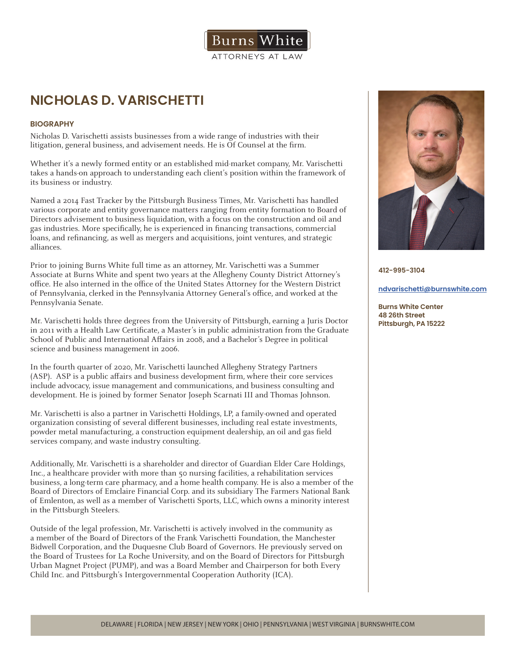**NICHOLAS D. VARISCHETTI**

# **BIOGRAPHY**

Nicholas D. Varischetti assists businesses from a wide range of industries with their litigation, general business, and advisement needs. He is Of Counsel at the firm.

Whether it's a newly formed entity or an established mid-market company, Mr. Varischetti takes a hands-on approach to understanding each client's position within the framework of its business or industry.

Burns

ATTORNEYS AT LAW

Named a 2014 Fast Tracker by the Pittsburgh Business Times, Mr. Varischetti has handled various corporate and entity governance matters ranging from entity formation to Board of Directors advisement to business liquidation, with a focus on the construction and oil and gas industries. More specifically, he is experienced in financing transactions, commercial loans, and refinancing, as well as mergers and acquisitions, joint ventures, and strategic alliances.

Prior to joining Burns White full time as an attorney, Mr. Varischetti was a Summer Associate at Burns White and spent two years at the Allegheny County District Attorney's office. He also interned in the office of the United States Attorney for the Western District of Pennsylvania, clerked in the Pennsylvania Attorney General's office, and worked at the Pennsylvania Senate.

Mr. Varischetti holds three degrees from the University of Pittsburgh, earning a Juris Doctor in 2011 with a Health Law Certificate, a Master's in public administration from the Graduate School of Public and International Affairs in 2008, and a Bachelor's Degree in political science and business management in 2006.

In the fourth quarter of 2020, Mr. Varischetti launched Allegheny Strategy Partners (ASP). ASP is a public affairs and business development firm, where their core services include advocacy, issue management and communications, and business consulting and development. He is joined by former Senator Joseph Scarnati III and Thomas Johnson.

Mr. Varischetti is also a partner in Varischetti Holdings, LP, a family-owned and operated organization consisting of several different businesses, including real estate investments, powder metal manufacturing, a construction equipment dealership, an oil and gas field services company, and waste industry consulting.

Additionally, Mr. Varischetti is a shareholder and director of Guardian Elder Care Holdings, Inc., a healthcare provider with more than 50 nursing facilities, a rehabilitation services business, a long-term care pharmacy, and a home health company. He is also a member of the Board of Directors of Emclaire Financial Corp. and its subsidiary The Farmers National Bank of Emlenton, as well as a member of Varischetti Sports, LLC, which owns a minority interest in the Pittsburgh Steelers.

Outside of the legal profession, Mr. Varischetti is actively involved in the community as a member of the Board of Directors of the Frank Varischetti Foundation, the Manchester Bidwell Corporation, and the Duquesne Club Board of Governors. He previously served on the Board of Trustees for La Roche University, and on the Board of Directors for Pittsburgh Urban Magnet Project (PUMP), and was a Board Member and Chairperson for both Every Child Inc. and Pittsburgh's Intergovernmental Cooperation Authority (ICA).



**412-995-3104**

**ndvarischetti@burnswhite.com**

**Burns White Center 48 26th Street Pittsburgh, PA 15222**